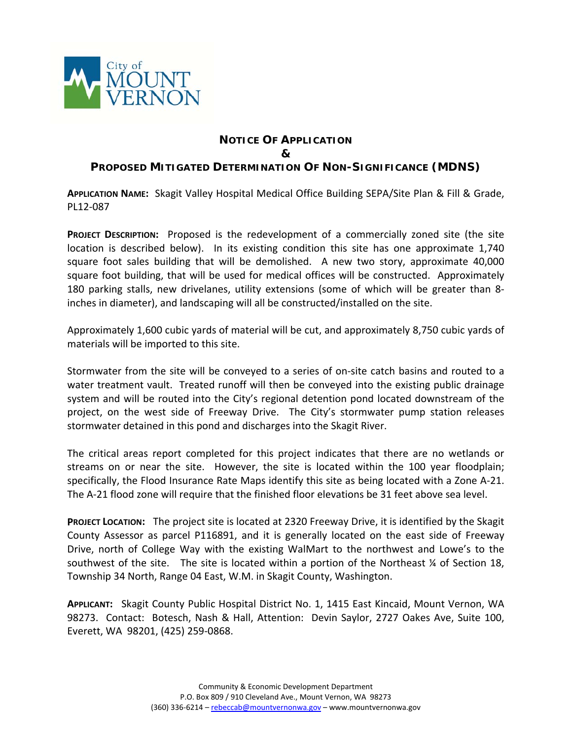

## **NOTICE OF APPLICATION &**

## **PROPOSED MITIGATED DETERMINATION OF NON-SIGNIFICANCE (MDNS)**

**APPLICATION NAME:** Skagit Valley Hospital Medical Office Building SEPA/Site Plan & Fill & Grade, PL12‐087

**PROJECT DESCRIPTION:** Proposed is the redevelopment of a commercially zoned site (the site location is described below). In its existing condition this site has one approximate 1,740 square foot sales building that will be demolished. A new two story, approximate 40,000 square foot building, that will be used for medical offices will be constructed. Approximately 180 parking stalls, new drivelanes, utility extensions (some of which will be greater than 8‐ inches in diameter), and landscaping will all be constructed/installed on the site.

Approximately 1,600 cubic yards of material will be cut, and approximately 8,750 cubic yards of materials will be imported to this site.

Stormwater from the site will be conveyed to a series of on‐site catch basins and routed to a water treatment vault. Treated runoff will then be conveyed into the existing public drainage system and will be routed into the City's regional detention pond located downstream of the project, on the west side of Freeway Drive. The City's stormwater pump station releases stormwater detained in this pond and discharges into the Skagit River.

The critical areas report completed for this project indicates that there are no wetlands or streams on or near the site. However, the site is located within the 100 year floodplain; specifically, the Flood Insurance Rate Maps identify this site as being located with a Zone A‐21. The A‐21 flood zone will require that the finished floor elevations be 31 feet above sea level.

**PROJECT LOCATION:** The project site is located at 2320 Freeway Drive, it is identified by the Skagit County Assessor as parcel P116891, and it is generally located on the east side of Freeway Drive, north of College Way with the existing WalMart to the northwest and Lowe's to the southwest of the site. The site is located within a portion of the Northeast  $\frac{1}{4}$  of Section 18, Township 34 North, Range 04 East, W.M. in Skagit County, Washington.

**APPLICANT:** Skagit County Public Hospital District No. 1, 1415 East Kincaid, Mount Vernon, WA 98273. Contact: Botesch, Nash & Hall, Attention: Devin Saylor, 2727 Oakes Ave, Suite 100, Everett, WA 98201, (425) 259‐0868.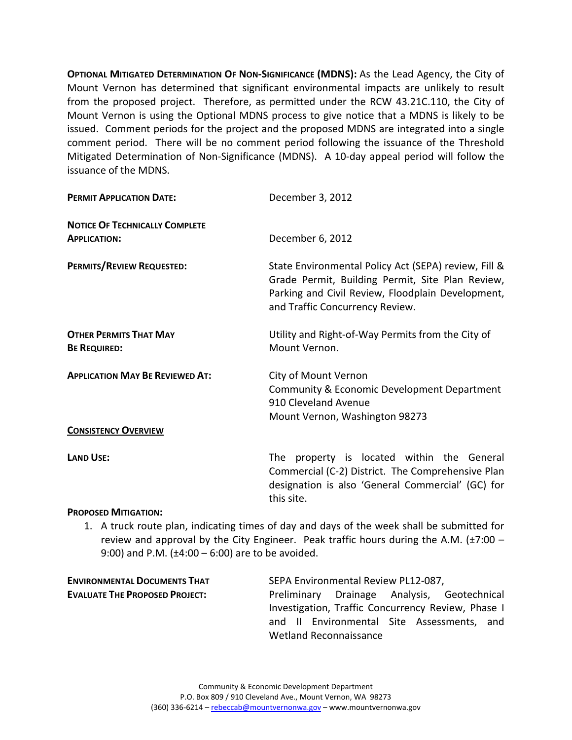**OPTIONAL MITIGATED DETERMINATION OF NON‐SIGNIFICANCE (MDNS):** As the Lead Agency, the City of Mount Vernon has determined that significant environmental impacts are unlikely to result from the proposed project. Therefore, as permitted under the RCW 43.21C.110, the City of Mount Vernon is using the Optional MDNS process to give notice that a MDNS is likely to be issued. Comment periods for the project and the proposed MDNS are integrated into a single comment period. There will be no comment period following the issuance of the Threshold Mitigated Determination of Non‐Significance (MDNS). A 10‐day appeal period will follow the issuance of the MDNS.

| <b>PERMIT APPLICATION DATE:</b>                              | December 3, 2012                                                                                                                                                                                 |
|--------------------------------------------------------------|--------------------------------------------------------------------------------------------------------------------------------------------------------------------------------------------------|
| <b>NOTICE OF TECHNICALLY COMPLETE</b><br><b>APPLICATION:</b> | December 6, 2012                                                                                                                                                                                 |
| PERMITS/REVIEW REQUESTED:                                    | State Environmental Policy Act (SEPA) review, Fill &<br>Grade Permit, Building Permit, Site Plan Review,<br>Parking and Civil Review, Floodplain Development,<br>and Traffic Concurrency Review. |
| <b>OTHER PERMITS THAT MAY</b><br><b>BE REQUIRED:</b>         | Utility and Right-of-Way Permits from the City of<br>Mount Vernon.                                                                                                                               |
| <b>APPLICATION MAY BE REVIEWED AT:</b>                       | City of Mount Vernon<br>Community & Economic Development Department<br>910 Cleveland Avenue<br>Mount Vernon, Washington 98273                                                                    |
| <b>CONSISTENCY OVERVIEW</b>                                  |                                                                                                                                                                                                  |
| <b>LAND USE:</b>                                             | property is located within the General<br>The<br>Commercial (C-2) District. The Comprehensive Plan<br>designation is also 'General Commercial' (GC) for<br>this site.                            |

## **PROPOSED MITIGATION:**

1. A truck route plan, indicating times of day and days of the week shall be submitted for review and approval by the City Engineer. Peak traffic hours during the A.M.  $(\pm 7:00 -$ 9:00) and P.M.  $(\pm 4:00 - 6:00)$  are to be avoided.

| <b>ENVIRONMENTAL DOCUMENTS THAT</b>   | SEPA Environmental Review PL12-087,                |
|---------------------------------------|----------------------------------------------------|
| <b>EVALUATE THE PROPOSED PROJECT:</b> | Preliminary Drainage Analysis, Geotechnical        |
|                                       | Investigation, Traffic Concurrency Review, Phase I |
|                                       | and II Environmental Site Assessments, and         |
|                                       | <b>Wetland Reconnaissance</b>                      |